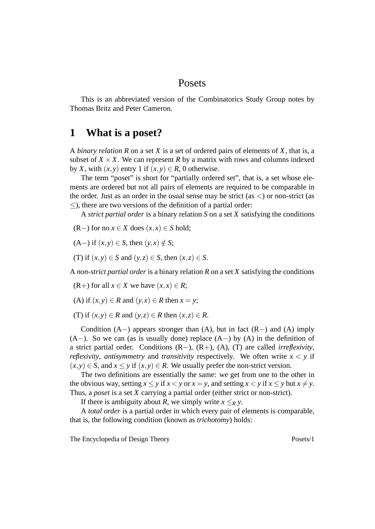#### Posets

This is an abbreviated version of the Combinatorics Study Group notes by Thomas Britz and Peter Cameron.

## **1 What is a poset?**

A *binary relation R* on a set *X* is a set of ordered pairs of elements of *X*, that is, a subset of  $X \times X$ . We can represent *R* by a matrix with rows and columns indexed by *X*, with  $(x, y)$  entry 1 if  $(x, y) \in R$ , 0 otherwise.

The term "poset" is short for "partially ordered set", that is, a set whose elements are ordered but not all pairs of elements are required to be comparable in the order. Just as an order in the usual sense may be strict (as  $\lt$ ) or non-strict (as ≤), there are two versions of the definition of a partial order:

A *strict partial order* is a binary relation *S* on a set *X* satisfying the conditions

(R−) for no  $x \in X$  does  $(x, x) \in S$  hold;

 $(A-)$  if  $(x, y) \in S$ , then  $(y, x) \notin S$ ;

(T) if  $(x, y) \in S$  and  $(y, z) \in S$ , then  $(x, z) \in S$ .

A *non-strict partial order* is a binary relation *R* on a set *X* satisfying the conditions

(R+) for all  $x \in X$  we have  $(x, x) \in R$ ;

(A) if  $(x, y) \in R$  and  $(y, x) \in R$  then  $x = y$ ;

(T) if  $(x, y) \in R$  and  $(y, z) \in R$  then  $(x, z) \in R$ .

Condition  $(A-)$  appears stronger than  $(A)$ , but in fact  $(R-)$  and  $(A)$  imply  $(A-)$ . So we can (as is usually done) replace  $(A-)$  by  $(A)$  in the definition of a strict partial order. Conditions (R−), (R+), (A), (T) are called *irreflexivity*, *reflexivity, antisymmetry* and *transitivity* respectively. We often write  $x < y$  if  $(x, y) \in S$ , and  $x \leq y$  if  $(x, y) \in R$ . We usually prefer the non-strict version.

The two definitions are essentially the same: we get from one to the other in the obvious way, setting  $x \le y$  if  $x < y$  or  $x = y$ , and setting  $x < y$  if  $x \le y$  but  $x \ne y$ . Thus, a *poset* is a set *X* carrying a partial order (either strict or non-strict).

If there is ambiguity about *R*, we simply write  $x \leq_R y$ .

A *total order* is a partial order in which every pair of elements is comparable, that is, the following condition (known as *trichotomy*) holds: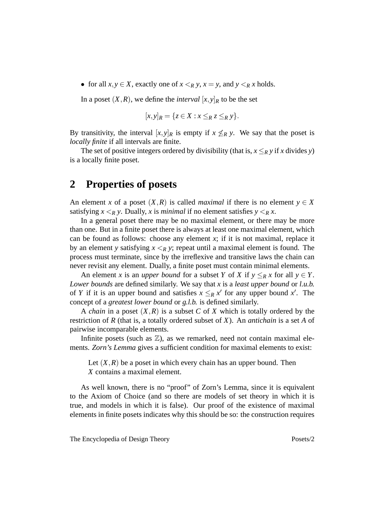• for all  $x, y \in X$ , exactly one of  $x \leq_R y$ ,  $x = y$ , and  $y \leq_R x$  holds.

In a poset  $(X, R)$ , we define the *interval*  $[x, y]_R$  to be the set

$$
[x,y]_R = \{ z \in X : x \leq_R z \leq_R y \}.
$$

By transitivity, the interval  $[x, y]_R$  is empty if  $x \nleq_R y$ . We say that the poset is *locally finite* if all intervals are finite.

The set of positive integers ordered by divisibility (that is,  $x \leq_R y$  if *x* divides *y*) is a locally finite poset.

### **2 Properties of posets**

An element *x* of a poset  $(X, R)$  is called *maximal* if there is no element  $y \in X$ satisfying  $x \leq_R y$ . Dually, x is *minimal* if no element satisfies  $y \leq_R x$ .

In a general poset there may be no maximal element, or there may be more than one. But in a finite poset there is always at least one maximal element, which can be found as follows: choose any element  $x$ ; if it is not maximal, replace it by an element *y* satisfying  $x \leq_R y$ ; repeat until a maximal element is found. The process must terminate, since by the irreflexive and transitive laws the chain can never revisit any element. Dually, a finite poset must contain minimal elements.

An element *x* is an *upper bound* for a subset *Y* of *X* if  $y \leq_R x$  for all  $y \in Y$ . *Lower bounds* are defined similarly. We say that *x* is a *least upper bound* or *l.u.b.* of *Y* if it is an upper bound and satisfies  $x \leq_R x'$  for any upper bound  $x'$ . The concept of a *greatest lower bound* or *g.l.b.* is defined similarly.

A *chain* in a poset (*X*,*R*) is a subset *C* of *X* which is totally ordered by the restriction of *R* (that is, a totally ordered subset of *X*). An *antichain* is a set *A* of pairwise incomparable elements.

Infinite posets (such as  $\mathbb{Z}$ ), as we remarked, need not contain maximal elements. *Zorn's Lemma* gives a sufficient condition for maximal elements to exist:

Let  $(X, R)$  be a poset in which every chain has an upper bound. Then *X* contains a maximal element.

As well known, there is no "proof" of Zorn's Lemma, since it is equivalent to the Axiom of Choice (and so there are models of set theory in which it is true, and models in which it is false). Our proof of the existence of maximal elements in finite posets indicates why this should be so: the construction requires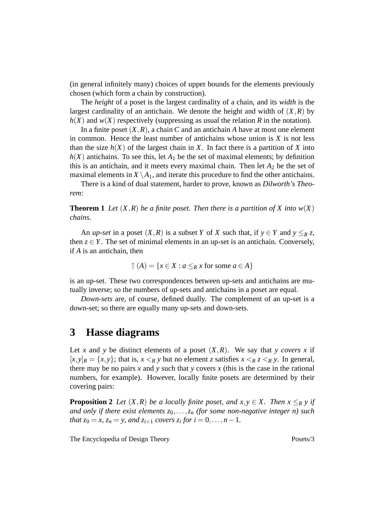(in general infinitely many) choices of upper bounds for the elements previously chosen (which form a chain by construction).

The *height* of a poset is the largest cardinality of a chain, and its *width* is the largest cardinality of an antichain. We denote the height and width of  $(X, R)$  by  $h(X)$  and  $w(X)$  respectively (suppressing as usual the relation *R* in the notation).

In a finite poset  $(X, R)$ , a chain *C* and an antichain *A* have at most one element in common. Hence the least number of antichains whose union is *X* is not less than the size  $h(X)$  of the largest chain in X. In fact there is a partition of X into  $h(X)$  antichains. To see this, let  $A_1$  be the set of maximal elements; by definition this is an antichain, and it meets every maximal chain. Then let  $A_2$  be the set of maximal elements in  $X \setminus A_1$ , and iterate this procedure to find the other antichains.

There is a kind of dual statement, harder to prove, known as *Dilworth's Theorem*:

**Theorem 1** Let  $(X, R)$  be a finite poset. Then there is a partition of X into  $w(X)$ *chains.*

An *up-set* in a poset  $(X, R)$  is a subset *Y* of *X* such that, if  $y \in Y$  and  $y \leq_R z$ , then  $z \in Y$ . The set of minimal elements in an up-set is an antichain. Conversely, if *A* is an antichain, then

$$
\uparrow (A) = \{x \in X : a \leq_R x \text{ for some } a \in A\}
$$

is an up-set. These two correspondences between up-sets and antichains are mutually inverse; so the numbers of up-sets and antichains in a poset are equal.

*Down-sets* are, of course, defined dually. The complement of an up-set is a down-set; so there are equally many up-sets and down-sets.

#### **3 Hasse diagrams**

Let *x* and *y* be distinct elements of a poset  $(X, R)$ . We say that *y covers x* if  $[x, y]_R = \{x, y\}$ ; that is,  $x \leq_R y$  but no element *z* satisfies  $x \leq_R z \leq_R y$ . In general, there may be no pairs  $x$  and  $y$  such that  $y$  covers  $x$  (this is the case in the rational numbers, for example). However, locally finite posets are determined by their covering pairs:

**Proposition 2** *Let*  $(X, R)$  *be a locally finite poset, and*  $x, y \in X$ *. Then*  $x \leq_R y$  *if and only if there exist elements z*0,...,*z<sup>n</sup> (for some non-negative integer n) such that*  $z_0 = x$ ,  $z_n = y$ , and  $z_{i+1}$  *covers*  $z_i$  *for*  $i = 0, ..., n - 1$ *.*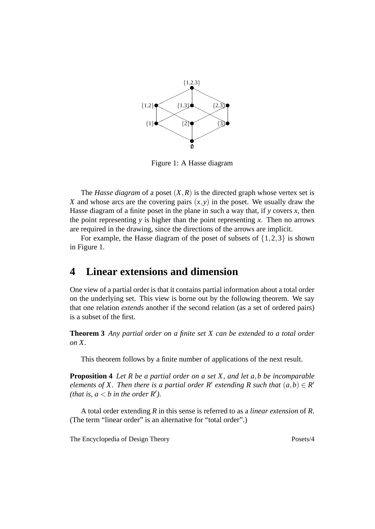

Figure 1: A Hasse diagram

The *Hasse diagram* of a poset  $(X, R)$  is the directed graph whose vertex set is *X* and whose arcs are the covering pairs  $(x, y)$  in the poset. We usually draw the Hasse diagram of a finite poset in the plane in such a way that, if *y* covers *x*, then the point representing  $y$  is higher than the point representing  $x$ . Then no arrows are required in the drawing, since the directions of the arrows are implicit.

For example, the Hasse diagram of the poset of subsets of  $\{1,2,3\}$  is shown in Figure 1.

### **4 Linear extensions and dimension**

One view of a partial order is that it contains partial information about a total order on the underlying set. This view is borne out by the following theorem. We say that one relation *extends* another if the second relation (as a set of ordered pairs) is a subset of the first.

**Theorem 3** *Any partial order on a finite set X can be extended to a total order on X.*

This theorem follows by a finite number of applications of the next result.

**Proposition 4** *Let R be a partial order on a set X, and let a*,*b be incomparable elements of X. Then there is a partial order R' extending R such that*  $(a, b) \in R'$ *(that is,*  $a < b$  *in the order R').* 

A total order extending *R* in this sense is referred to as a *linear extension* of *R*. (The term "linear order" is an alternative for "total order".)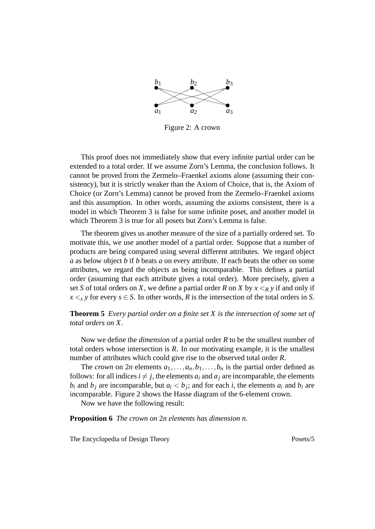

Figure 2: A crown

This proof does not immediately show that every infinite partial order can be extended to a total order. If we assume Zorn's Lemma, the conclusion follows. It cannot be proved from the Zermelo–Fraenkel axioms alone (assuming their consistency), but it is strictly weaker than the Axiom of Choice, that is, the Axiom of Choice (or Zorn's Lemma) cannot be proved from the Zermelo–Fraenkel axioms and this assumption. In other words, assuming the axioms consistent, there is a model in which Theorem 3 is false for some infinite poset, and another model in which Theorem 3 is true for all posets but Zorn's Lemma is false.

The theorem gives us another measure of the size of a partially ordered set. To motivate this, we use another model of a partial order. Suppose that a number of products are being compared using several different attributes. We regard object *a* as below object *b* if *b* beats *a* on every attribute. If each beats the other on some attributes, we regard the objects as being incomparable. This defines a partial order (assuming that each attribute gives a total order). More precisely, given a set *S* of total orders on *X*, we define a partial order *R* on *X* by  $x \leq_R y$  if and only if  $x \leq s$  *y* for every  $s \in S$ . In other words, *R* is the intersection of the total orders in *S*.

**Theorem 5** *Every partial order on a finite set X is the intersection of some set of total orders on X.*

Now we define the *dimension* of a partial order *R* to be the smallest number of total orders whose intersection is *R*. In our motivating example, it is the smallest number of attributes which could give rise to the observed total order *R*.

The *crown* on 2*n* elements  $a_1, \ldots, a_n, b_1, \ldots, b_n$  is the partial order defined as follows: for all indices  $i \neq j$ , the elements  $a_i$  and  $a_j$  are incomparable, the elements  $b_i$  and  $b_j$  are incomparable, but  $a_i < b_j$ ; and for each *i*, the elements  $a_i$  and  $b_i$  are incomparable. Figure 2 shows the Hasse diagram of the 6-element crown.

Now we have the following result:

**Proposition 6** *The crown on* 2*n elements has dimension n.*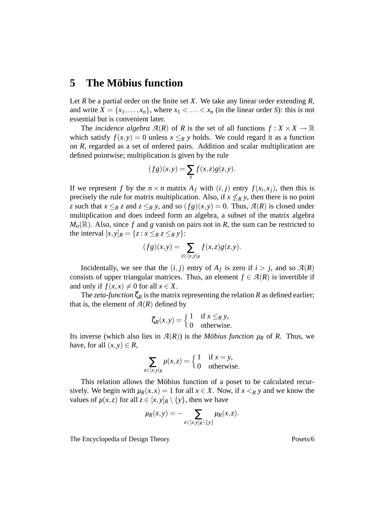# **5** The Möbius function

Let *R* be a partial order on the finite set *X*. We take any linear order extending *R*, and write  $X = \{x_1, \ldots, x_n\}$ , where  $x_1 < \ldots < x_n$  (in the linear order *S*): this is not essential but is convenient later.

The *incidence algebra*  $\mathcal{A}(R)$  of R is the set of all functions  $f: X \times X \to \mathbb{R}$ which satisfy  $f(x, y) = 0$  unless  $x \leq_R y$  holds. We could regard it as a function on *R*, regarded as a set of ordered pairs. Addition and scalar multiplication are defined pointwise; multiplication is given by the rule

$$
(fg)(x,y) = \sum_{z} f(x,z)g(z,y).
$$

If we represent *f* by the  $n \times n$  matrix  $A_f$  with  $(i, j)$  entry  $f(x_i, x_j)$ , then this is precisely the rule for matrix multiplication. Also, if  $x \nleq_R y$ , then there is no point *z* such that  $x \leq_R z$  and  $z \leq_R y$ , and so  $(fg)(x, y) = 0$ . Thus,  $A(R)$  is closed under multiplication and does indeed form an algebra, a subset of the matrix algebra  $M_n(\mathbb{R})$ . Also, since f and g vanish on pairs not in *R*, the sum can be restricted to the interval  $[x, y]_R = \{z : x \leq_R z \leq_R y\}$ :

$$
(fg)(x,y) = \sum_{z \in [x,y]_R} f(x,z)g(z,y).
$$

Incidentally, we see that the  $(i, j)$  entry of  $A_f$  is zero if  $i > j$ , and so  $\mathcal{A}(R)$ consists of upper triangular matrices. Thus, an element  $f \in \mathcal{A}(R)$  is invertible if and only if  $f(x, x) \neq 0$  for all  $x \in X$ .

The *zeta-function*  $\zeta_R$  is the matrix representing the relation *R* as defined earlier; that is, the element of  $\mathcal{A}(R)$  defined by

$$
\zeta_R(x, y) = \begin{cases} 1 & \text{if } x \leq_R y, \\ 0 & \text{otherwise.} \end{cases}
$$

Its inverse (which also lies in  $\mathcal{A}(R)$ ) is the *Möbius function*  $\mu_R$  of R. Thus, we have, for all  $(x, y) \in R$ ,

$$
\sum_{z \in [x,y]_R} \mu(x,z) = \begin{cases} 1 & \text{if } x = y, \\ 0 & \text{otherwise.} \end{cases}
$$

This relation allows the Möbius function of a poset to be calculated recursively. We begin with  $\mu_R(x, x) = 1$  for all  $x \in X$ . Now, if  $x \leq_R y$  and we know the values of  $\mu(x, z)$  for all  $z \in [x, y]_R \setminus \{y\}$ , then we have

$$
\mu_R(x,y) = -\sum_{z \in [x,y]_R \setminus \{y\}} \mu_R(x,z).
$$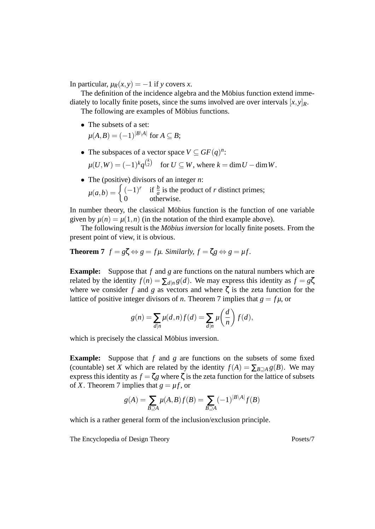In particular,  $\mu_R(x, y) = -1$  if *y* covers *x*.

The definition of the incidence algebra and the Möbius function extend immediately to locally finite posets, since the sums involved are over intervals  $[x, y]_R$ .

The following are examples of Möbius functions.

- The subsets of a set:  $\mu(A, B) = (-1)^{|B \setminus A|}$  for  $A \subseteq B$ ;
- The subspaces of a vector space  $V \subseteq GF(q)^n$ :

$$
\mu(U,W) = (-1)^k q^{\binom{k}{2}} \quad \text{for } U \subseteq W \text{, where } k = \dim U - \dim W.
$$

• The (positive) divisors of an integer *n*:  $\mu(a,b) = \begin{cases} (-1)^r & \text{if } \frac{b}{a} \text{ is the product of } r \text{ distinct primes;} \end{cases}$ 0 otherwise.

In number theory, the classical Möbius function is the function of one variable given by  $\mu(n) = \mu(1,n)$  (in the notation of the third example above).

The following result is the *Möbius inversion* for locally finite posets. From the present point of view, it is obvious.

#### **Theorem 7**  $f = g\zeta \Leftrightarrow g = fu$ . Similarly,  $f = \zeta g \Leftrightarrow g = uf$ .

**Example:** Suppose that *f* and *g* are functions on the natural numbers which are related by the identity  $f(n) = \sum_{d|n} g(d)$ . We may express this identity as  $f = g\zeta$ where we consider  $f$  and  $g$  as vectors and where  $\zeta$  is the zeta function for the lattice of positive integer divisors of *n*. Theorem 7 implies that  $g = f\mu$ , or

$$
g(n) = \sum_{d|n} \mu(d,n) f(d) = \sum_{d|n} \mu\left(\frac{d}{n}\right) f(d),
$$

which is precisely the classical Möbius inversion.

**Example:** Suppose that *f* and *g* are functions on the subsets of some fixed (countable) set *X* which are related by the identity  $f(A) = \sum_{B \supseteq A} g(B)$ . We may express this identity as  $f = \zeta g$  where  $\zeta$  is the zeta function for the lattice of subsets of *X*. Theorem 7 implies that  $g = \mu f$ , or

$$
g(A) = \sum_{B \supseteq A} \mu(A, B) f(B) = \sum_{B \supseteq A} (-1)^{|B \setminus A|} f(B)
$$

which is a rather general form of the inclusion/exclusion principle.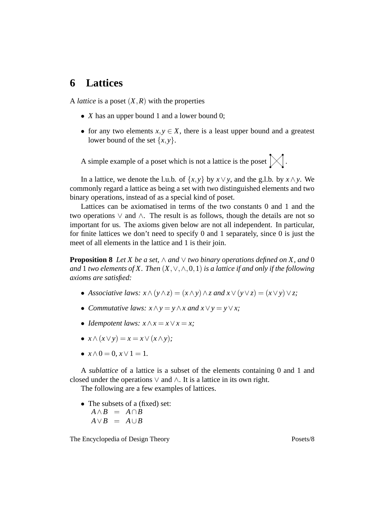# **6 Lattices**

A *lattice* is a poset (*X*,*R*) with the properties

- *X* has an upper bound 1 and a lower bound 0;
- for any two elements  $x, y \in X$ , there is a least upper bound and a greatest lower bound of the set  $\{x, y\}$ .

A simple example of a poset which is not a lattice is the poset r r r r ╱  $\bigvee$  $\triangleleft$  .

In a lattice, we denote the l.u.b. of  $\{x, y\}$  by  $x \lor y$ , and the g.l.b. by  $x \land y$ . We commonly regard a lattice as being a set with two distinguished elements and two binary operations, instead of as a special kind of poset.

Lattices can be axiomatised in terms of the two constants 0 and 1 and the two operations ∨ and ∧. The result is as follows, though the details are not so important for us. The axioms given below are not all independent. In particular, for finite lattices we don't need to specify 0 and 1 separately, since 0 is just the meet of all elements in the lattice and 1 is their join.

**Proposition 8** *Let X be a set,*  $\land$  *and*  $\lor$  *two binary operations defined on X, and* 0 *and* 1 *two elements of X. Then* (*X*,∨,∧,0,1) *is a lattice if and only if the following axioms are satisfied:*

- *Associative laws: x*∧(*y*∧*z*) = (*x*∧*y*)∧*z and x*∨(*y*∨*z*) = (*x*∨*y*)∨*z;*
- *Commutative laws:*  $x \wedge y = y \wedge x$  *and*  $x \vee y = y \vee x$ ;
- *Idempotent laws:*  $x \wedge x = x \vee x = x$ ;
- $x \wedge (x \vee y) = x = x \vee (x \wedge y)$ ;
- $x \wedge 0 = 0, x \vee 1 = 1.$

A *sublattice* of a lattice is a subset of the elements containing 0 and 1 and closed under the operations  $\vee$  and  $\wedge$ . It is a lattice in its own right.

The following are a few examples of lattices.

• The subsets of a (fixed) set:  $A \wedge B = A \cap B$  $A \vee B = A \cup B$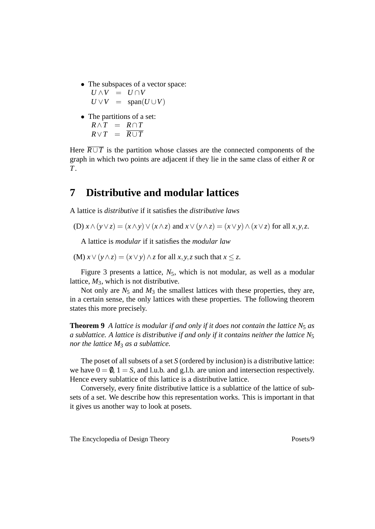- The subspaces of a vector space:  $U \wedge V = U \cap V$  $U \vee V = \text{span}(U \cup V)$
- The partitions of a set:  $R \wedge T = R \cap T$  $R \vee T = \overline{R \cup T}$

Here  $\overline{R \cup T}$  is the partition whose classes are the connected components of the graph in which two points are adjacent if they lie in the same class of either *R* or *T*.

## **7 Distributive and modular lattices**

A lattice is *distributive* if it satisfies the *distributive laws*

(D) 
$$
x \wedge (y \vee z) = (x \wedge y) \vee (x \wedge z)
$$
 and  $x \vee (y \wedge z) = (x \vee y) \wedge (x \vee z)$  for all  $x, y, z$ .

A lattice is *modular* if it satisfies the *modular law*

(M)  $x \lor (y \land z) = (x \lor y) \land z$  for all  $x, y, z$  such that  $x \leq z$ .

Figure 3 presents a lattice,  $N_5$ , which is not modular, as well as a modular lattice, *M*3, which is not distributive.

Not only are  $N_5$  and  $M_3$  the smallest lattices with these properties, they are, in a certain sense, the only lattices with these properties. The following theorem states this more precisely.

**Theorem 9** *A lattice is modular if and only if it does not contain the lattice*  $N_5$  *as a sublattice. A lattice is distributive if and only if it contains neither the lattice N*<sup>5</sup> *nor the lattice M*<sup>3</sup> *as a sublattice.*

The poset of all subsets of a set *S* (ordered by inclusion) is a distributive lattice: we have  $0 = 0$ ,  $1 = S$ , and l.u.b. and g.l.b. are union and intersection respectively. Hence every sublattice of this lattice is a distributive lattice.

Conversely, every finite distributive lattice is a sublattice of the lattice of subsets of a set. We describe how this representation works. This is important in that it gives us another way to look at posets.